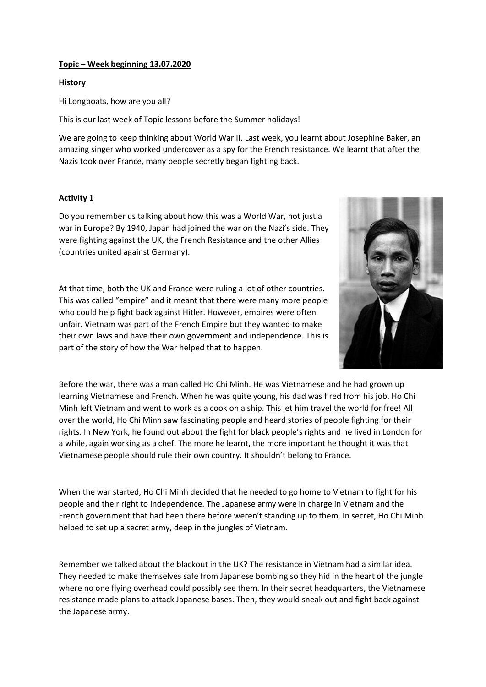## Topic – Week beginning 13.07.2020

## **History**

Hi Longboats, how are you all?

This is our last week of Topic lessons before the Summer holidays!

We are going to keep thinking about World War II. Last week, you learnt about Josephine Baker, an amazing singer who worked undercover as a spy for the French resistance. We learnt that after the Nazis took over France, many people secretly began fighting back.

## Activity 1

Do you remember us talking about how this was a World War, not just a war in Europe? By 1940, Japan had joined the war on the Nazi's side. They were fighting against the UK, the French Resistance and the other Allies (countries united against Germany).

At that time, both the UK and France were ruling a lot of other countries. This was called "empire" and it meant that there were many more people who could help fight back against Hitler. However, empires were often unfair. Vietnam was part of the French Empire but they wanted to make their own laws and have their own government and independence. This is part of the story of how the War helped that to happen.



Before the war, there was a man called Ho Chi Minh. He was Vietnamese and he had grown up learning Vietnamese and French. When he was quite young, his dad was fired from his job. Ho Chi Minh left Vietnam and went to work as a cook on a ship. This let him travel the world for free! All over the world, Ho Chi Minh saw fascinating people and heard stories of people fighting for their rights. In New York, he found out about the fight for black people's rights and he lived in London for a while, again working as a chef. The more he learnt, the more important he thought it was that Vietnamese people should rule their own country. It shouldn't belong to France.

When the war started, Ho Chi Minh decided that he needed to go home to Vietnam to fight for his people and their right to independence. The Japanese army were in charge in Vietnam and the French government that had been there before weren't standing up to them. In secret, Ho Chi Minh helped to set up a secret army, deep in the jungles of Vietnam.

Remember we talked about the blackout in the UK? The resistance in Vietnam had a similar idea. They needed to make themselves safe from Japanese bombing so they hid in the heart of the jungle where no one flying overhead could possibly see them. In their secret headquarters, the Vietnamese resistance made plans to attack Japanese bases. Then, they would sneak out and fight back against the Japanese army.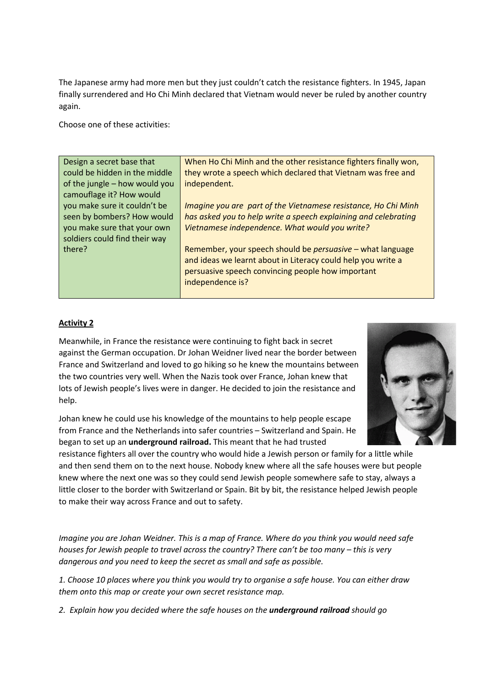The Japanese army had more men but they just couldn't catch the resistance fighters. In 1945, Japan finally surrendered and Ho Chi Minh declared that Vietnam would never be ruled by another country again.

Choose one of these activities:

| Design a secret base that     | When Ho Chi Minh and the other resistance fighters finally won,   |
|-------------------------------|-------------------------------------------------------------------|
| could be hidden in the middle | they wrote a speech which declared that Vietnam was free and      |
| of the jungle - how would you | independent.                                                      |
| camouflage it? How would      |                                                                   |
| you make sure it couldn't be  | Imagine you are part of the Vietnamese resistance, Ho Chi Minh    |
| seen by bombers? How would    | has asked you to help write a speech explaining and celebrating   |
| you make sure that your own   | Vietnamese independence. What would you write?                    |
| soldiers could find their way |                                                                   |
| there?                        | Remember, your speech should be <i>persuasive</i> – what language |
|                               | and ideas we learnt about in Literacy could help you write a      |
|                               | persuasive speech convincing people how important                 |
|                               | independence is?                                                  |
|                               |                                                                   |

## Activity 2

Meanwhile, in France the resistance were continuing to fight back in secret against the German occupation. Dr Johan Weidner lived near the border between France and Switzerland and loved to go hiking so he knew the mountains between the two countries very well. When the Nazis took over France, Johan knew that lots of Jewish people's lives were in danger. He decided to join the resistance and help.

Johan knew he could use his knowledge of the mountains to help people escape from France and the Netherlands into safer countries – Switzerland and Spain. He began to set up an underground railroad. This meant that he had trusted



resistance fighters all over the country who would hide a Jewish person or family for a little while and then send them on to the next house. Nobody knew where all the safe houses were but people knew where the next one was so they could send Jewish people somewhere safe to stay, always a little closer to the border with Switzerland or Spain. Bit by bit, the resistance helped Jewish people to make their way across France and out to safety.

*Imagine you are Johan Weidner. This is a map of France. Where do you think you would need safe houses for Jewish people to travel across the country? There can't be too many – this is very dangerous and you need to keep the secret as small and safe as possible.* 

*1. Choose 10 places where you think you would try to organise a safe house. You can either draw them onto this map or create your own secret resistance map.*

*2. Explain how you decided where the safe houses on the underground railroad should go*